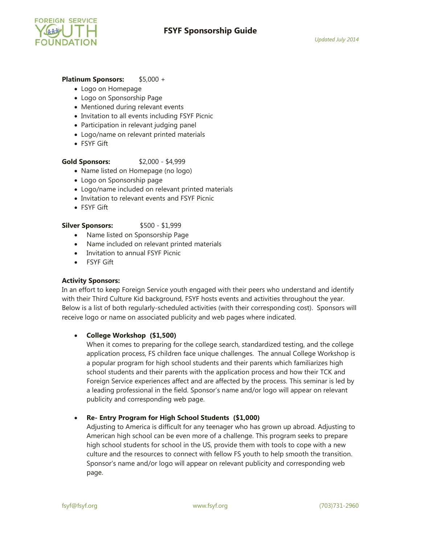

## **Platinum Sponsors:** \$5,000 +

- Logo on Homepage
- Logo on Sponsorship Page
- Mentioned during relevant events
- Invitation to all events including FSYF Picnic
- Participation in relevant judging panel
- Logo/name on relevant printed materials
- FSYF Gift

# **Gold Sponsors:** \$2,000 - \$4,999

- Name listed on Homepage (no logo)
- Logo on Sponsorship page
- Logo/name included on relevant printed materials
- Invitation to relevant events and FSYF Picnic
- FSYF Gift

### **Silver Sponsors:** \$500 - \$1,999

- Name listed on Sponsorship Page
- Name included on relevant printed materials
- Invitation to annual FSYF Picnic
- FSYF Gift

### **Activity Sponsors:**

In an effort to keep Foreign Service youth engaged with their peers who understand and identify with their Third Culture Kid background, FSYF hosts events and activities throughout the year. Below is a list of both regularly-scheduled activities (with their corresponding cost). Sponsors will receive logo or name on associated publicity and web pages where indicated.

### **College Workshop (\$1,500)**

When it comes to preparing for the college search, standardized testing, and the college application process, FS children face unique challenges. The annual College Workshop is a popular program for high school students and their parents which familiarizes high school students and their parents with the application process and how their TCK and Foreign Service experiences affect and are affected by the process. This seminar is led by a leading professional in the field. Sponsor's name and/or logo will appear on relevant publicity and corresponding web page.

### **Re- Entry Program for High School Students (\$1,000)**

Adjusting to America is difficult for any teenager who has grown up abroad. Adjusting to American high school can be even more of a challenge. This program seeks to prepare high school students for school in the US, provide them with tools to cope with a new culture and the resources to connect with fellow FS youth to help smooth the transition. Sponsor's name and/or logo will appear on relevant publicity and corresponding web page.